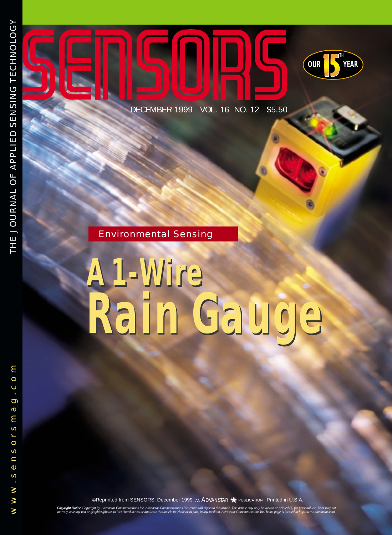**OUR YEAR** DECEMBER 1999 VOL. 16 NO. 12 \$5.50

**TH**

### Environmental Sensing

## *A 1-Wire Rain Gauge A 1-Wire Rain Gauge*

©Reprinted from SENSORS, December 1999 AN ADVANSTAR <a>>
PUBLICATION Printed in U.S.A.

**Copyright Notice** Copyright by Advanstar Communications Inc. Advanstar Communications Inc. enains all rights to this article. This article may only be viewed or printed (1) for personal use. User may not<br>actively save any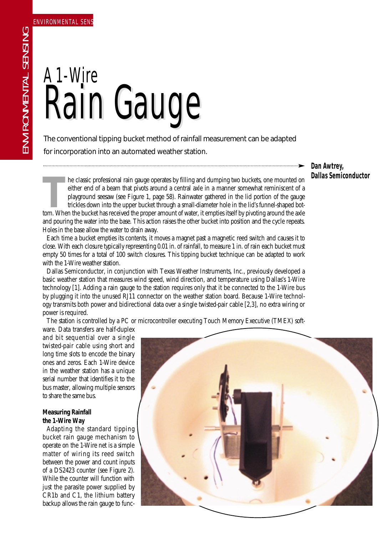# Rain Gauge Rain Gauge A 1-Wire

The conventional tipping bucket method of rainfall measurement can be adapted for incorporation into an automated weather station.

**Dan Awtrey, Dallas Semiconductor**

**THE CONDENSIGNAL TERM** is a countral axle in a manner somewhat reminiscent of a playground seesaw (see Figure 1, page 58). Rainwater gathered in the lid portion of the gauge trickles down into the upper bucket through a s either end of a beam that pivots around a central axle in a manner somewhat reminiscent of a playground seesaw (see Figure 1, page 58). Rainwater gathered in the lid portion of the gauge trickles down into the upper bucket through a small-diameter hole in the lid's funnel-shaped botand pouring the water into the base. This action raises the other bucket into position and the cycle repeats. Holes in the base allow the water to drain away.

Each time a bucket empties its contents, it moves a magnet past a magnetic reed switch and causes it to close. With each closure typically representing 0.01 in. of rainfall, to measure 1 in. of rain each bucket must empty 50 times for a total of 100 switch closures. This tipping bucket technique can be adapted to work with the 1-Wire weather station.

Dallas Semiconductor, in conjunction with Texas Weather Instruments, Inc., previously developed a basic weather station that measures wind speed, wind direction, and temperature using Dallas's 1-Wire technology [1]. Adding a rain gauge to the station requires only that it be connected to the 1-Wire bus by plugging it into the unused RJ11 connector on the weather station board. Because 1-Wire technology transmits both power and bidirectional data over a single twisted-pair cable [2,3], no extra wiring or power is required.

The station is controlled by a PC or microcontroller executing Touch Memory Executive (TMEX) soft-

ware. Data transfers are half-duplex and bit sequential over a single twisted-pair cable using short and long time slots to encode the binary ones and zeros. Each 1-Wire device in the weather station has a unique serial number that identifies it to the bus master, allowing multiple sensors to share the same bus.

#### **Measuring Rainfall the 1-Wire Way**

Adapting the standard tipping bucket rain gauge mechanism to operate on the 1-Wire net is a simple matter of wiring its reed switch between the power and count inputs of a DS2423 counter (see Figure 2). While the counter will function with just the parasite power supplied by CR1b and C1, the lithium battery backup allows the rain gauge to func-

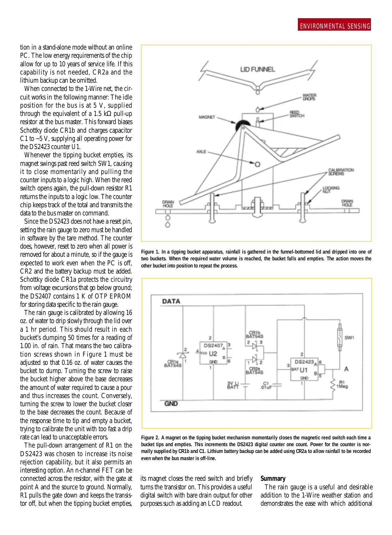tion in a stand-alone mode without an online PC. The low energy requirements of the chip allow for up to 10 years of service life. If this capability is not needed, CR2a and the lithium backup can be omitted.

When connected to the 1-Wire net, the circuit works in the following manner: The idle position for the bus is at 5 V, supplied through the equivalent of a 1.5 kΩ pull-up resistor at the bus master. This forward biases Schottky diode CR1b and charges capacitor C1 to  $\sim$  5 V, supplying all operating power for the DS2423 counter U1.

Whenever the tipping bucket empties, its magnet swings past reed switch SW1, causing it to close momentarily and pulling the counter inputs to a logic high. When the reed switch opens again, the pull-down resistor R1 returns the inputs to a logic low. The counter chip keeps track of the total and transmits the data to the bus master on command.

Since the DS2423 does not have a reset pin, setting the rain gauge to zero must be handled in software by the tare method. The counter does, however, reset to zero when all power is removed for about a minute, so if the gauge is expected to work even when the PC is off, CR2 and the battery backup must be added. Schottky diode CR1a protects the circuitry from voltage excursions that go below ground; the DS2407 contains 1 K of OTP EPROM for storing data specific to the rain gauge.

The rain gauge is calibrated by allowing 16 oz. of water to drip slowly through the lid over a 1 hr period. This should result in each bucket's dumping 50 times for a reading of 1.00 in. of rain. That means the two calibration screws shown in Figure 1 must be adjusted so that 0.16 oz. of water causes the bucket to dump. Turning the screw to raise the bucket higher above the base decreases the amount of water required to cause a pour and thus increases the count. Conversely, turning the screw to lower the bucket closer to the base decreases the count. Because of the response time to tip and empty a bucket, trying to calibrate the unit with too fast a drip rate can lead to unacceptable errors.

The pull-down arrangement of R1 on the DS2423 was chosen to increase its noise rejection capability, but it also permits an interesting option. An n-channel FET can be connected across the resistor, with the gate at point A and the source to ground. Normally, R1 pulls the gate down and keeps the transistor off, but when the tipping bucket empties,



**Figure 1. In a tipping bucket apparatus, rainfall is gathered in the funnel-bottomed lid and dripped into one of two buckets. When the required water volume is reached, the bucket falls and empties. The action moves the other bucket into position to repeat the process.**



**Figure 2. A magnet on the tipping bucket mechanism momentarily closes the magnetic reed switch each time a bucket tips and empties. This increments the DS2423 digital counter one count. Power for the counter is normally supplied by CR1b and C1. Lithium battery backup can be added using CR2a to allow rainfall to be recorded even when the bus master is off-line.**

its magnet closes the reed switch and briefly turns the transistor on. This provides a useful digital switch with bare drain output for other purposes such as adding an LCD readout.

#### **Summary**

The rain gauge is a useful and desirable addition to the 1-Wire weather station and demonstrates the ease with which additional